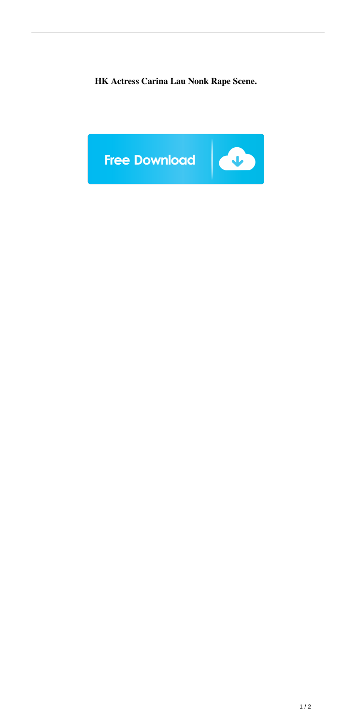**HK Actress Carina Lau Nonk Rape Scene.**